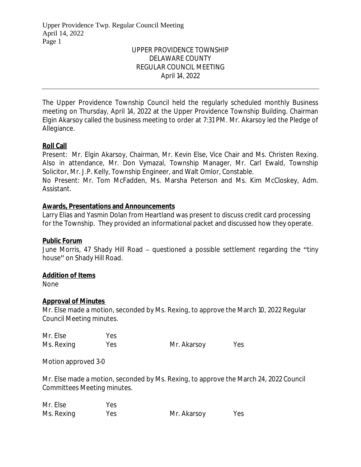# UPPER PROVIDENCE TOWNSHIP DELAWARE COUNTY REGULAR COUNCIL MEETING April 14, 2022

The Upper Providence Township Council held the regularly scheduled monthly Business meeting on Thursday, April 14, 2022 at the Upper Providence Township Building. Chairman Elgin Akarsoy called the business meeting to order at 7:31 PM. Mr. Akarsoy led the Pledge of Allegiance.

# **Roll Call**

Present: Mr. Elgin Akarsoy, Chairman, Mr. Kevin Else, Vice Chair and Ms. Christen Rexing. Also in attendance, Mr. Don Vymazal, Township Manager, Mr. Carl Ewald, Township Solicitor, Mr. J.P. Kelly, Township Engineer, and Walt Omlor, Constable.

No Present: Mr. Tom McFadden, Ms. Marsha Peterson and Ms. Kim McCloskey, Adm. Assistant.

# **Awards, Presentations and Announcements**

Larry Elias and Yasmin Dolan from Heartland was present to discuss credit card processing for the Township. They provided an informational packet and discussed how they operate.

# **Public Forum**

June Morris, 47 Shady Hill Road – questioned a possible settlement regarding the "tiny house" on Shady Hill Road.

# **Addition of Items**

None

# **Approval of Minutes**

Mr. Else made a motion, seconded by Ms. Rexing, to approve the March 10, 2022 Regular Council Meeting minutes.

| Mr. Else   | Yes |             |     |
|------------|-----|-------------|-----|
| Ms. Rexing | Yes | Mr. Akarsoy | Yes |

Motion approved 3-0

Mr. Else made a motion, seconded by Ms. Rexing, to approve the March 24, 2022 Council Committees Meeting minutes.

| Mr. Else   | Yes |             |     |
|------------|-----|-------------|-----|
| Ms. Rexing | Yes | Mr. Akarsoy | Yes |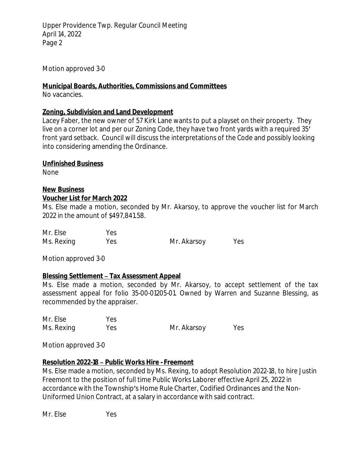Motion approved 3-0

### **Municipal Boards, Authorities, Commissions and Committees**

No vacancies.

#### **Zoning, Subdivision and Land Development**

Lacey Faber, the new owner of 57 Kirk Lane wants to put a playset on their property. They live on a corner lot and per our Zoning Code, they have two front yards with a required 35' front yard setback. Council will discuss the interpretations of the Code and possibly looking into considering amending the Ordinance.

### **Unfinished Business**

None

# **New Business**

### **Voucher List for March 2022**

Ms. Else made a motion, seconded by Mr. Akarsoy, to approve the voucher list for March 2022 in the amount of \$497,841.58.

| Mr. Else   | Yes |             |     |
|------------|-----|-------------|-----|
| Ms. Rexing | Yes | Mr. Akarsoy | Yes |

Motion approved 3-0

# **Blessing Settlement – Tax Assessment Appeal**

Ms. Else made a motion, seconded by Mr. Akarsoy, to accept settlement of the tax assessment appeal for folio 35-00-01205-01. Owned by Warren and Suzanne Blessing, as recommended by the appraiser.

| Mr. Else   | Yes |             |     |
|------------|-----|-------------|-----|
| Ms. Rexing | Yes | Mr. Akarsoy | Yes |

Motion approved 3-0

# **Resolution 2022-18 – Public Works Hire - Freemont**

Ms. Else made a motion, seconded by Ms. Rexing, to adopt Resolution 2022-18, to hire Justin Freemont to the position of full time Public Works Laborer effective April 25, 2022 in accordance with the Township's Home Rule Charter, Codified Ordinances and the Non-Uniformed Union Contract, at a salary in accordance with said contract.

Mr. Else Yes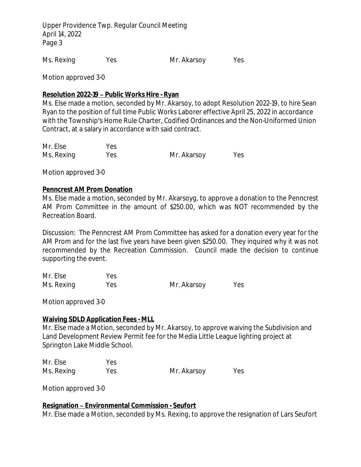Ms. Rexing Yes Mr. Akarsoy Yes

Motion approved 3-0

#### **Resolution 2022-19 – Public Works Hire - Ryan**

Ms. Else made a motion, seconded by Mr. Akarsoy, to adopt Resolution 2022-19, to hire Sean Ryan to the position of full time Public Works Laborer effective April 25, 2022 in accordance with the Township's Home Rule Charter, Codified Ordinances and the Non-Uniformed Union Contract, at a salary in accordance with said contract.

| Mr. Else   | Yes |             |     |
|------------|-----|-------------|-----|
| Ms. Rexing | Yes | Mr. Akarsoy | Yes |

Motion approved 3-0

#### **Penncrest AM Prom Donation**

Ms. Else made a motion, seconded by Mr. Akarsoyg, to approve a donation to the Penncrest AM Prom Committee in the amount of \$250.00, which was NOT recommended by the Recreation Board.

Discussion: The Penncrest AM Prom Committee has asked for a donation every year for the AM Prom and for the last five years have been given \$250.00. They inquired why it was not recommended by the Recreation Commission. Council made the decision to continue supporting the event.

| Mr. Else   | Yes |             |     |
|------------|-----|-------------|-----|
| Ms. Rexing | Yes | Mr. Akarsoy | Yes |

Motion approved 3-0

#### **Waiving SDLD Application Fees - MLL**

Mr. Else made a Motion, seconded by Mr. Akarsoy, to approve waiving the Subdivision and Land Development Review Permit fee for the Media Little League lighting project at Springton Lake Middle School.

| Mr. Else   | Yes |             |     |
|------------|-----|-------------|-----|
| Ms. Rexing | Yes | Mr. Akarsoy | Yes |

Motion approved 3-0

#### **Resignation – Environmental Commission - Seufort**

Mr. Else made a Motion, seconded by Ms. Rexing, to approve the resignation of Lars Seufort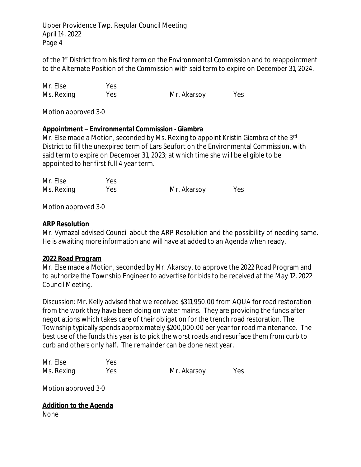of the 1<sup>st</sup> District from his first term on the Environmental Commission and to reappointment to the Alternate Position of the Commission with said term to expire on December 31, 2024.

| Mr. Else   | Yes |             |     |
|------------|-----|-------------|-----|
| Ms. Rexing | Yes | Mr. Akarsoy | Yes |

Motion approved 3-0

### **Appointment – Environmental Commission - Giambra**

Mr. Else made a Motion, seconded by Ms. Rexing to appoint Kristin Giambra of the 3rd District to fill the unexpired term of Lars Seufort on the Environmental Commission, with said term to expire on December 31, 2023; at which time she will be eligible to be appointed to her first full 4 year term.

| Mr. Else   | Yes |             |     |
|------------|-----|-------------|-----|
| Ms. Rexing | Yes | Mr. Akarsoy | Yes |

Motion approved 3-0

#### **ARP Resolution**

Mr. Vymazal advised Council about the ARP Resolution and the possibility of needing same. He is awaiting more information and will have at added to an Agenda when ready.

#### **2022 Road Program**

Mr. Else made a Motion, seconded by Mr. Akarsoy, to approve the 2022 Road Program and to authorize the Township Engineer to advertise for bids to be received at the May 12, 2022 Council Meeting.

Discussion: Mr. Kelly advised that we received \$311,950.00 from AQUA for road restoration from the work they have been doing on water mains. They are providing the funds after negotiations which takes care of their obligation for the trench road restoration. The Township typically spends approximately \$200,000.00 per year for road maintenance. The best use of the funds this year is to pick the worst roads and resurface them from curb to curb and others only half. The remainder can be done next year.

| Mr. Else   | Yes |             |     |
|------------|-----|-------------|-----|
| Ms. Rexing | Yes | Mr. Akarsoy | Yes |

Motion approved 3-0

**Addition to the Agenda** None